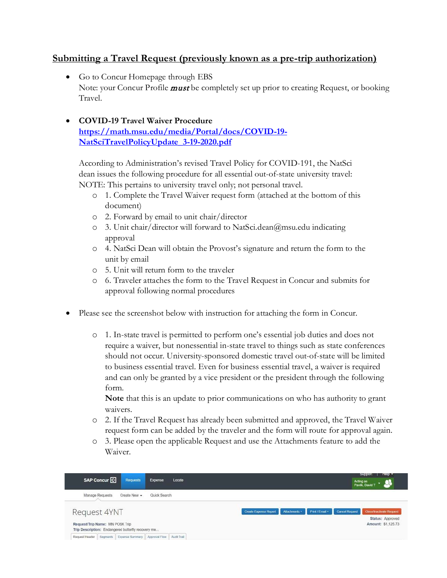## **Submitting a Travel Request (previously known as a pre-trip authorization)**

- Go to Concur Homepage through EBS Note: your Concur Profile **must** be completely set up prior to creating Request, or booking Travel.
- **COVID-19 Travel Waiver Procedure [https://math.msu.edu/media/Portal/docs/COVID-19-](https://math.msu.edu/media/Portal/docs/COVID-19-NatSciTravelPolicyUpdate_3-19-2020.pdf) [NatSciTravelPolicyUpdate\\_3-19-2020.pdf](https://math.msu.edu/media/Portal/docs/COVID-19-NatSciTravelPolicyUpdate_3-19-2020.pdf)**

According to Administration's revised Travel Policy for COVID-191, the NatSci dean issues the following procedure for all essential out-of-state university travel: NOTE: This pertains to university travel only; not personal travel.

- o 1. Complete the Travel Waiver request form (attached at the bottom of this document)
- o 2. Forward by email to unit chair/director
- o 3. Unit chair/director will forward to NatSci.dean@msu.edu indicating approval
- o 4. NatSci Dean will obtain the Provost's signature and return the form to the unit by email
- o 5. Unit will return form to the traveler
- o 6. Traveler attaches the form to the Travel Request in Concur and submits for approval following normal procedures
- Please see the screenshot below with instruction for attaching the form in Concur.
	- o 1. In-state travel is permitted to perform one's essential job duties and does not require a waiver, but nonessential in-state travel to things such as state conferences should not occur. University-sponsored domestic travel out-of-state will be limited to business essential travel. Even for business essential travel, a waiver is required and can only be granted by a vice president or the president through the following form.

**Note** that this is an update to prior communications on who has authority to grant waivers.

- o 2. If the Travel Request has already been submitted and approved, the Travel Waiver request form can be added by the traveler and the form will route for approval again.
- o 3. Please open the applicable Request and use the Attachments feature to add the Waiver.

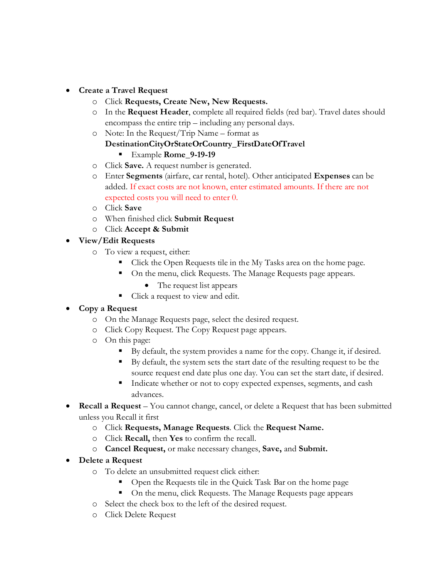- **Create a Travel Request**
	- o Click **Requests, Create New, New Requests.**
	- o In the **Request Header**, complete all required fields (red bar). Travel dates should encompass the entire trip – including any personal days.
	- o Note: In the Request/Trip Name format as

#### **DestinationCityOrStateOrCountry\_FirstDateOfTravel** Example **Rome\_9-19-19**

- o Click **Save.** A request number is generated.
- o Enter **Segments** (airfare, car rental, hotel). Other anticipated **Expenses** can be added. If exact costs are not known, enter estimated amounts. If there are not expected costs you will need to enter 0.
- o Click **Save**
- o When finished click **Submit Request**
- o Click **Accept & Submit**

## • **View/Edit Requests**

- o To view a request, either:
	- Click the Open Requests tile in the My Tasks area on the home page.
	- On the menu, click Requests. The Manage Requests page appears.
		- The request list appears
	- Click a request to view and edit.

## • **Copy a Request**

- o On the Manage Requests page, select the desired request.
- o Click Copy Request. The Copy Request page appears.
- o On this page:
	- By default, the system provides a name for the copy. Change it, if desired.
	- By default, the system sets the start date of the resulting request to be the source request end date plus one day. You can set the start date, if desired.
	- Indicate whether or not to copy expected expenses, segments, and cash advances.
- **Recall a Request** You cannot change, cancel, or delete a Request that has been submitted unless you Recall it first
	- o Click **Requests, Manage Requests**. Click the **Request Name.**
	- o Click **Recall,** then **Yes** to confirm the recall.
	- o **Cancel Request,** or make necessary changes, **Save,** and **Submit.**
- **Delete a Request**
	- o To delete an unsubmitted request click either:
		- Open the Requests tile in the Quick Task Bar on the home page
		- On the menu, click Requests. The Manage Requests page appears
	- o Select the check box to the left of the desired request.
	- o Click Delete Request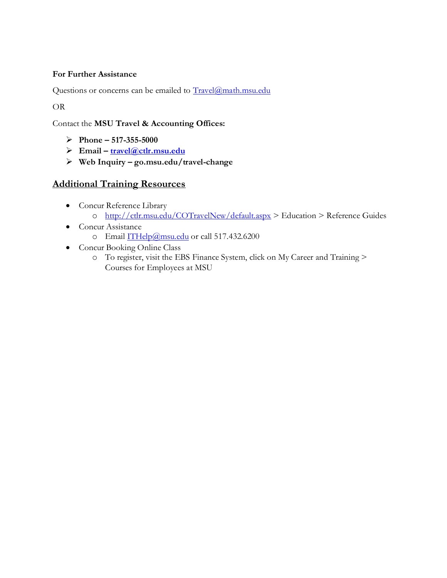## **For Further Assistance**

Questions or concerns can be emailed to [Travel@math.msu.edu](mailto:Travel@math.msu.edu)

OR

Contact the **MSU Travel & Accounting Offices:**

- **Phone – 517-355-5000**
- **Email – [travel@ctlr.msu.edu](mailto:travel@ctlr.msu.edu)**
- **Web Inquiry – go.msu.edu/travel-change**

# **Additional Training Resources**

- Concur Reference Library o <http://ctlr.msu.edu/COTravelNew/default.aspx> > Education > Reference Guides
- Concur Assistance o Email [ITHelp@msu.edu](mailto:ITHelp@msu.edu) or call 517.432.6200
- Concur Booking Online Class
	- o To register, visit the EBS Finance System, click on My Career and Training > Courses for Employees at MSU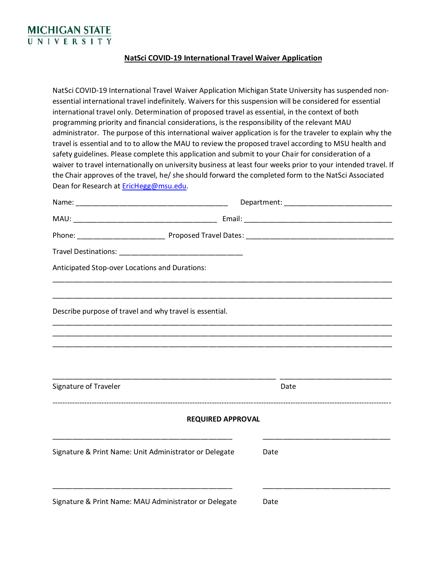

#### **NatSci COVID-19 International Travel Waiver Application**

NatSci COVID-19 International Travel Waiver Application Michigan State University has suspended nonessential international travel indefinitely. Waivers for this suspension will be considered for essential international travel only. Determination of proposed travel as essential, in the context of both programming priority and financial considerations, is the responsibility of the relevant MAU administrator. The purpose of this international waiver application is for the traveler to explain why the travel is essential and to to allow the MAU to review the proposed travel according to MSU health and safety guidelines. Please complete this application and submit to your Chair for consideration of a waiver to travel internationally on university business at least four weeks prior to your intended travel. If the Chair approves of the travel, he/ she should forward the completed form to the NatSci Associated Dean for Research at [EricHegg@msu.edu.](mailto:EricHegg@msu.edu)

| Anticipated Stop-over Locations and Durations:          |      |
|---------------------------------------------------------|------|
| Describe purpose of travel and why travel is essential. |      |
|                                                         |      |
|                                                         |      |
| Signature of Traveler                                   | Date |
| <b>REQUIRED APPROVAL</b>                                |      |
| Signature & Print Name: Unit Administrator or Delegate  | Date |
| Signature & Print Name: MAU Administrator or Delegate   | Date |